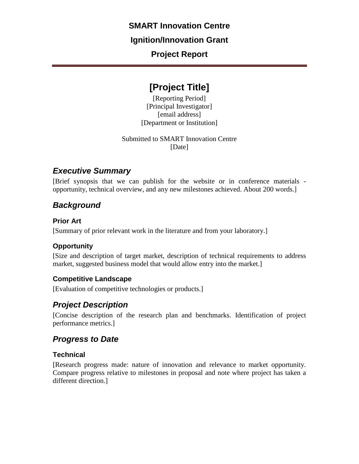#### **SMART Innovation Centre**

#### **Ignition/Innovation Grant**

# **Project Report**

# **[Project Title]**

[Reporting Period] [Principal Investigator] [email address] [Department or Institution]

Submitted to SMART Innovation Centre [Date]

# *Executive Summary*

[Brief synopsis that we can publish for the website or in conference materials opportunity, technical overview, and any new milestones achieved. About 200 words.]

# *Background*

#### **Prior Art**

[Summary of prior relevant work in the literature and from your laboratory.]

#### **Opportunity**

[Size and description of target market, description of technical requirements to address market, suggested business model that would allow entry into the market.]

#### **Competitive Landscape**

[Evaluation of competitive technologies or products.]

# *Project Description*

[Concise description of the research plan and benchmarks. Identification of project performance metrics.]

#### *Progress to Date*

#### **Technical**

[Research progress made: nature of innovation and relevance to market opportunity. Compare progress relative to milestones in proposal and note where project has taken a different direction.]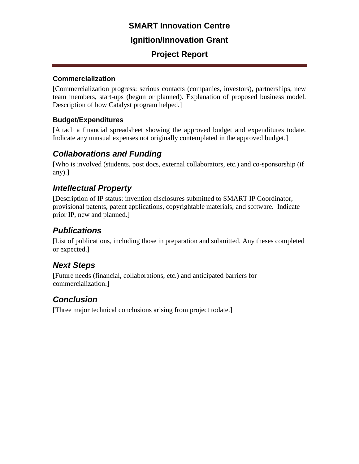### **SMART Innovation Centre**

#### **Ignition/Innovation Grant**

# **Project Report**

#### **Commercialization**

[Commercialization progress: serious contacts (companies, investors), partnerships, new team members, start-ups (begun or planned). Explanation of proposed business model. Description of how Catalyst program helped.]

#### **Budget/Expenditures**

[Attach a financial spreadsheet showing the approved budget and expenditures todate. Indicate any unusual expenses not originally contemplated in the approved budget.]

# *Collaborations and Funding*

[Who is involved (students, post docs, external collaborators, etc.) and co-sponsorship (if any).]

# *Intellectual Property*

[Description of IP status: invention disclosures submitted to SMART IP Coordinator, provisional patents, patent applications, copyrightable materials, and software. Indicate prior IP, new and planned.]

### *Publications*

[List of publications, including those in preparation and submitted. Any theses completed or expected.]

# *Next Steps*

[Future needs (financial, collaborations, etc.) and anticipated barriers for commercialization.]

# *Conclusion*

[Three major technical conclusions arising from project todate.]